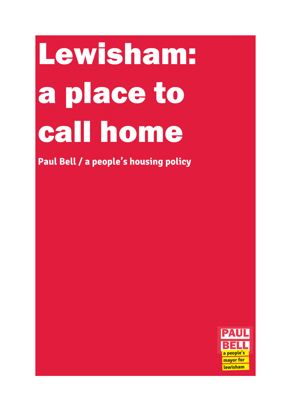# Lewisham: a place to call home

**Paul Bell / a people's housing policy**

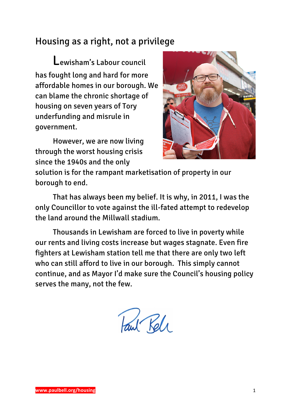# Housing as a right, not a privilege

Lewisham's Labour council has fought long and hard for more affordable homes in our borough. We can blame the chronic shortage of housing on seven years of Tory underfunding and misrule in government.

However, we are now living through the worst housing crisis since the 1940s and the only



solution is for the rampant marketisation of property in our borough to end.

That has always been my belief. It is why, in 2011, I was the only Councillor to vote against the ill-fated attempt to redevelop the land around the Millwall stadium.

Thousands in Lewisham are forced to live in poverty while our rents and living costs increase but wages stagnate. Even fire fighters at Lewisham station tell me that there are only two left who can still afford to live in our borough. This simply cannot continue, and as Mayor I'd make sure the Council's housing policy serves the many, not the few.

Paul Rele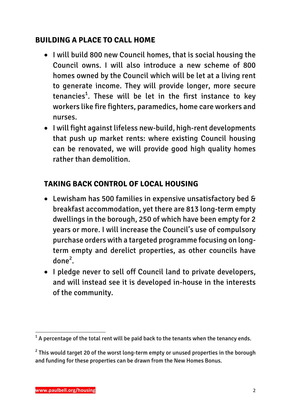## **BUILDING A PLACE TO CALL HOME**

- I will build 800 new Council homes, that is social housing the Council owns. I will also introduce a new scheme of 800 homes owned by the Council which will be let at a living rent to generate income. They will provide longer, more secure tenancies $^1$ . These will be let in the first instance to key workers like fire fighters, paramedics, home care workers and nurses.
- I will fight against lifeless new-build, high-rent developments that push up market rents: where existing Council housing can be renovated, we will provide good high quality homes rather than demolition.

## **TAKING BACK CONTROL OF LOCAL HOUSING**

- Lewisham has 500 families in expensive unsatisfactory bed & breakfast accommodation, yet there are 813 long-term empty dwellings in the borough, 250 of which have been empty for 2 years or more. I will increase the Council's use of compulsory purchase orders with a targeted programme focusing on longterm empty and derelict properties, as other councils have done<sup>2</sup>.
- I pledge never to sell off Council land to private developers, and will instead see it is developed in-house in the interests of the community.

<u> 1989 - Johann Barn, mars ann an t-Amhain an t-Amhain an t-Amhain an t-Amhain an t-Amhain an t-Amhain an t-Amh</u>

 $^{\rm 1}$  A percentage of the total rent will be paid back to the tenants when the tenancy ends.

 $2$  This would target 20 of the worst long-term empty or unused properties in the borough and funding for these properties can be drawn from the New Homes Bonus.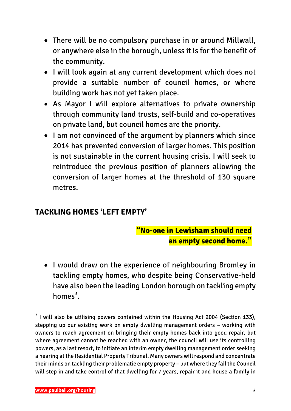- There will be no compulsory purchase in or around Millwall, or anywhere else in the borough, unless it is for the benefit of the community.
- I will look again at any current development which does not provide a suitable number of council homes, or where building work has not yet taken place.
- As Mayor I will explore alternatives to private ownership through community land trusts, self-build and co-operatives on private land, but council homes are the priority.
- I am not convinced of the argument by planners which since 2014 has prevented conversion of larger homes. This position is not sustainable in the current housing crisis. I will seek to reintroduce the previous position of planners allowing the conversion of larger homes at the threshold of 130 square metres.

# **TACKLING HOMES 'LEFT EMPTY'**

# "No-one in Lewisham should need an empty second home."

• I would draw on the experience of neighbouring Bromley in tackling empty homes, who despite being Conservative-held have also been the leading London borough on tackling empty homes $^3$ .

<u> 1989 - Johann Barn, mars ann an t-Amhain an t-Amhain an t-Amhain an t-Amhain an t-Amhain an t-Amhain an t-Amh</u>

 $3$  I will also be utilising powers contained within the Housing Act 2004 (Section 133), stepping up our existing work on empty dwelling management orders – working with owners to reach agreement on bringing their empty homes back into good repair, but where agreement cannot be reached with an owner, the council will use its controlling powers, as a last resort, to initiate an interim empty dwelling management order seeking a hearing at the Residential Property Tribunal. Many owners will respond and concentrate their minds on tackling their problematic empty property – but where they fail the Council will step in and take control of that dwelling for 7 years, repair it and house a family in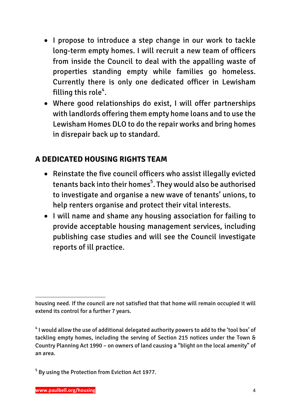- I propose to introduce a step change in our work to tackle long-term empty homes. I will recruit a new team of officers from inside the Council to deal with the appalling waste of properties standing empty while families go homeless. Currently there is only one dedicated officer in Lewisham filling this role $\sp4.$
- Where good relationships do exist, I will offer partnerships with landlords offering them empty home loans and to use the Lewisham Homes DLO to do the repair works and bring homes in disrepair back up to standard.

# **A DEDICATED HOUSING RIGHTS TEAM**

- Reinstate the five council officers who assist illegally evicted tenants back into their homes<sup>5</sup>. They would also be authorised to investigate and organise a new wave of tenants' unions, to help renters organise and protect their vital interests.
- I will name and shame any housing association for failing to provide acceptable housing management services, including publishing case studies and will see the Council investigate reports of ill practice.

<sup>&</sup>lt;u> 1989 - Johann Barn, mars ann an t-Amhain an t-Amhain an t-Amhain an t-Amhain an t-Amhain an t-Amhain an t-Amh</u> housing need. If the council are not satisfied that that home will remain occupied it will extend its control for a further 7 years.

<sup>&</sup>lt;sup>4</sup> I would allow the use of additional delegated authority powers to add to the 'tool box' of tackling empty homes, including the serving of Section 215 notices under the Town & Country Planning Act 1990 – on owners of land causing a "blight on the local amenity" of an area.

<sup>5</sup> By using the Protection from Eviction Act 1977.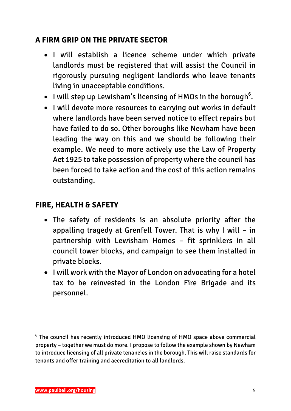## **A FIRM GRIP ON THE PRIVATE SECTOR**

- I will establish a licence scheme under which private landlords must be registered that will assist the Council in rigorously pursuing negligent landlords who leave tenants living in unacceptable conditions.
- $\bullet$  I will step up Lewisham's licensing of HMOs in the borough<sup>6</sup>.
- I will devote more resources to carrying out works in default where landlords have been served notice to effect repairs but have failed to do so. Other boroughs like Newham have been leading the way on this and we should be following their example. We need to more actively use the Law of Property Act 1925 to take possession of property where the council has been forced to take action and the cost of this action remains outstanding.

### **FIRE, HEALTH & SAFETY**

- The safety of residents is an absolute priority after the appalling tragedy at Grenfell Tower. That is why I will – in partnership with Lewisham Homes – fit sprinklers in all council tower blocks, and campaign to see them installed in private blocks.
- I will work with the Mayor of London on advocating for a hotel tax to be reinvested in the London Fire Brigade and its personnel.

<u> 1989 - Johann Barn, mars ann an t-Amhain an t-Amhain an t-Amhain an t-Amhain an t-Amhain an t-Amhain an t-Amh</u>

<sup>6</sup> The council has recently introduced HMO licensing of HMO space above commercial property – together we must do more. I propose to follow the example shown by Newham to introduce licensing of all private tenancies in the borough. This will raise standards for tenants and offer training and accreditation to all landlords.